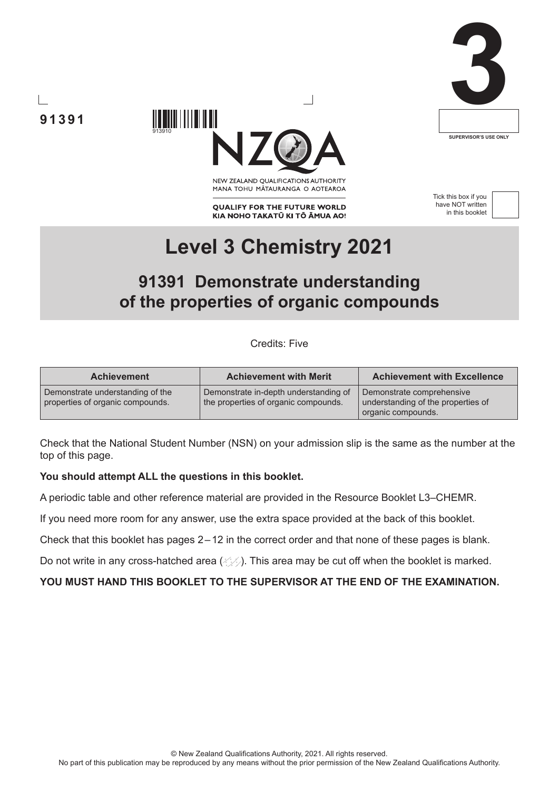

# **91391**



NEW ZEALAND OUALIFICATIONS AUTHORITY MANA TOHU MATAURANGA O AOTEAROA

**QUALIFY FOR THE FUTURE WORLD** KIA NOHO TAKATŪ KI TŌ ĀMUA AO! Tick this box if you have NOT written in this booklet



# **Level 3 Chemistry 2021**

# **91391 Demonstrate understanding of the properties of organic compounds**

Credits: Five

| <b>Achievement</b>                                                   | <b>Achievement with Merit</b>                                                 | <b>Achievement with Excellence</b>                                                    |
|----------------------------------------------------------------------|-------------------------------------------------------------------------------|---------------------------------------------------------------------------------------|
| Demonstrate understanding of the<br>properties of organic compounds. | Demonstrate in-depth understanding of<br>the properties of organic compounds. | Demonstrate comprehensive<br>understanding of the properties of<br>organic compounds. |

Check that the National Student Number (NSN) on your admission slip is the same as the number at the top of this page.

#### **You should attempt ALL the questions in this booklet.**

913910

A periodic table and other reference material are provided in the Resource Booklet L3–CHEMR.

If you need more room for any answer, use the extra space provided at the back of this booklet.

Check that this booklet has pages 2–12 in the correct order and that none of these pages is blank.

Do not write in any cross-hatched area  $(\angle \angle)$ . This area may be cut off when the booklet is marked.

#### **YOU MUST HAND THIS BOOKLET TO THE SUPERVISOR AT THE END OF THE EXAMINATION.**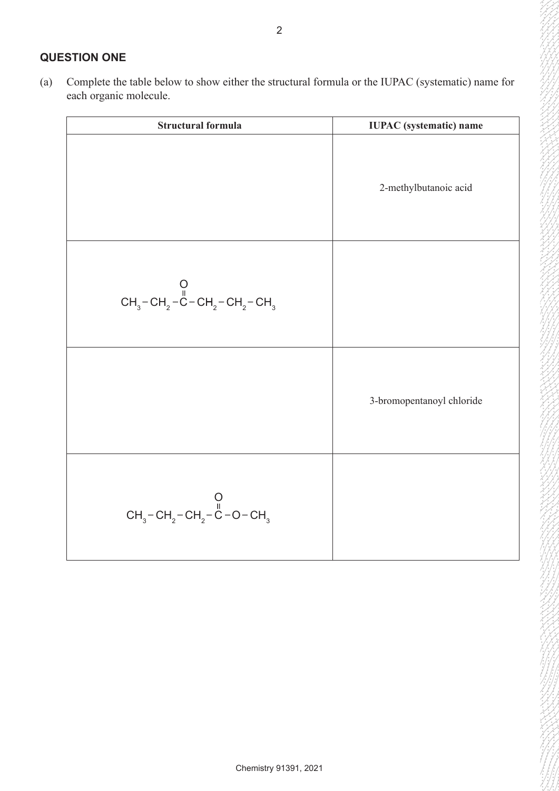# **QUESTION ONE**

(a) Complete the table below to show either the structural formula or the IUPAC (systematic) name for each organic molecule.

| <b>Structural formula</b>                                                                                     | <b>IUPAC</b> (systematic) name |
|---------------------------------------------------------------------------------------------------------------|--------------------------------|
|                                                                                                               | 2-methylbutanoic acid          |
| CH <sub>3</sub> – CH <sub>2</sub> – C – CH <sub>2</sub> – CH <sub>2</sub> – CH <sub>3</sub>                   |                                |
|                                                                                                               | 3-bromopentanoyl chloride      |
| CH <sub>3</sub> – CH <sub>2</sub> – CH <sub>2</sub> – C <sub>H2</sub> – C <sub>H2</sub> – C <sub>H2</sub> – C |                                |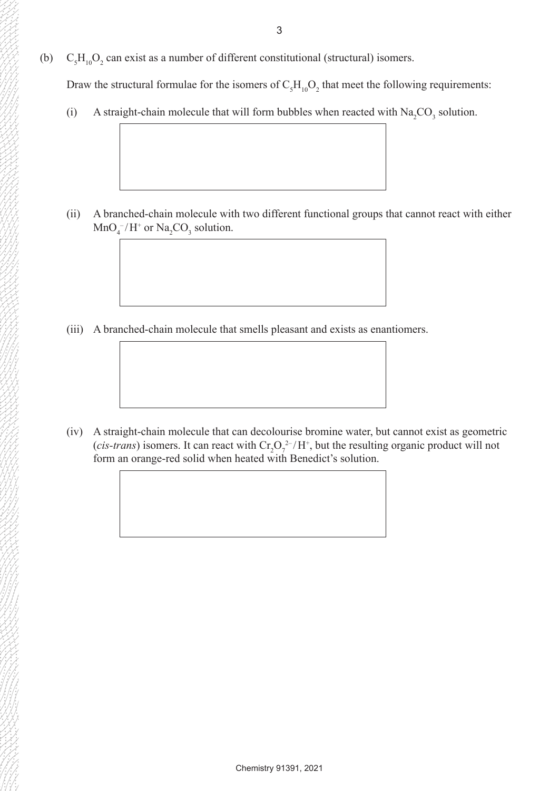(b)  $C_5H_{10}O_2$  can exist as a number of different constitutional (structural) isomers.

Draw the structural formulae for the isomers of  $C_5H_{10}O_2$  that meet the following requirements:

(i) A straight-chain molecule that will form bubbles when reacted with  $\text{Na}_2\text{CO}_3$  solution.

(ii) A branched-chain molecule with two different functional groups that cannot react with either  $MnO_4^-/H^+$  or  $Na_2CO_3$  solution.

(iii) A branched-chain molecule that smells pleasant and exists as enantiomers.

(iv) A straight-chain molecule that can decolourise bromine water, but cannot exist as geometric (*cis-trans*) isomers. It can react with  $Cr_2O_7^{2-}/H^+$ , but the resulting organic product will not form an orange-red solid when heated with Benedict's solution.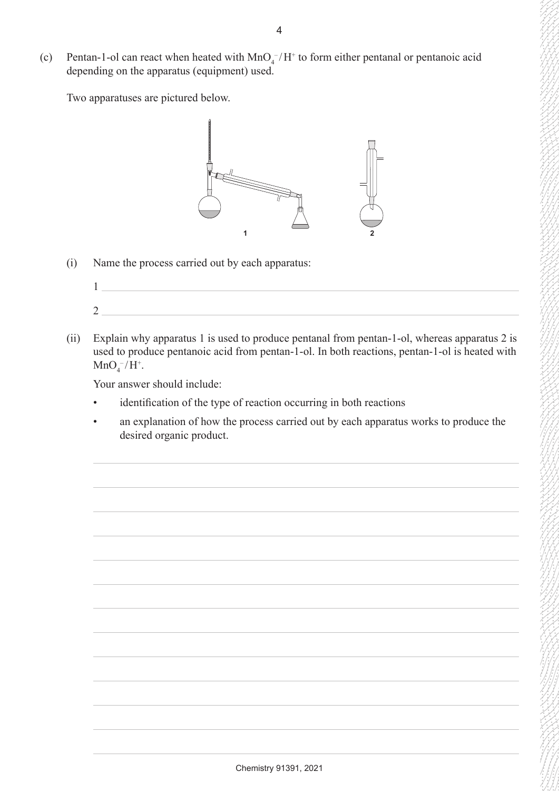(c) Pentan-1-ol can react when heated with  $MnO<sub>4</sub><sup>-</sup>/H<sup>+</sup>$  to form either pentanal or pentanoic acid depending on the apparatus (equipment) used.

Two apparatuses are pictured below.



(i) Name the process carried out by each apparatus:



(ii) Explain why apparatus 1 is used to produce pentanal from pentan-1-ol, whereas apparatus 2 is used to produce pentanoic acid from pentan-1-ol. In both reactions, pentan-1-ol is heated with  $MnO_4^-/H^+$ .

Your answer should include:

- • identification of the type of reaction occurring in both reactions
- an explanation of how the process carried out by each apparatus works to produce the desired organic product.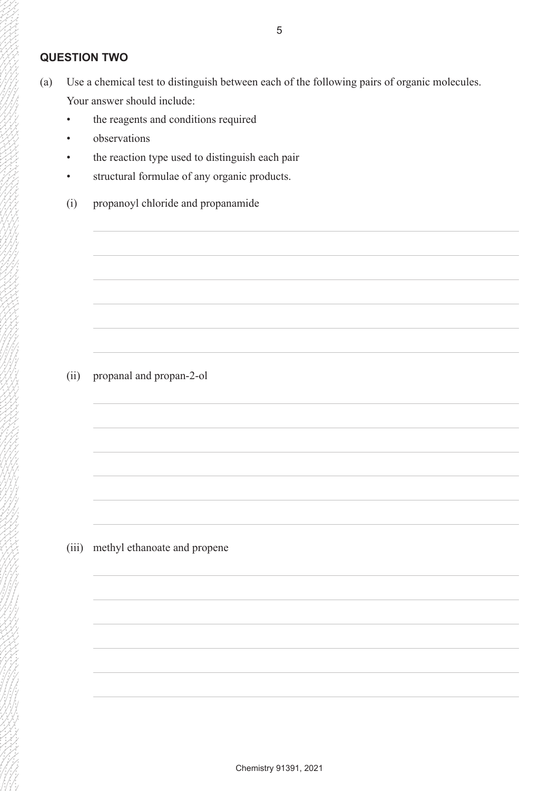# **QUESTION TWO**

- (a) Use a chemical test to distinguish between each of the following pairs of organic molecules. Your answer should include:
	- the reagents and conditions required
	- observations
	- the reaction type used to distinguish each pair
	- structural formulae of any organic products.
	- (i) propanoyl chloride and propanamide

# (ii) propanal and propan-2-ol

(iii) methyl ethanoate and propene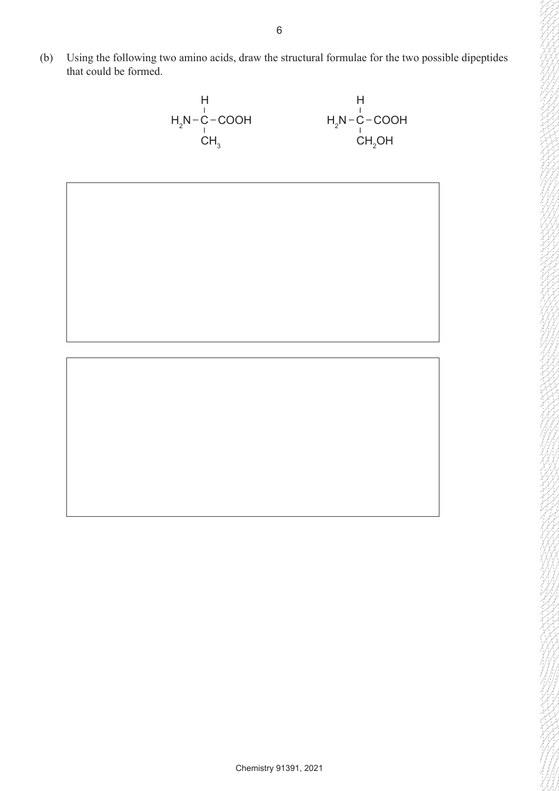(b) Using the following two amino acids, draw the structural formulae for the two possible dipeptides that could be formed.



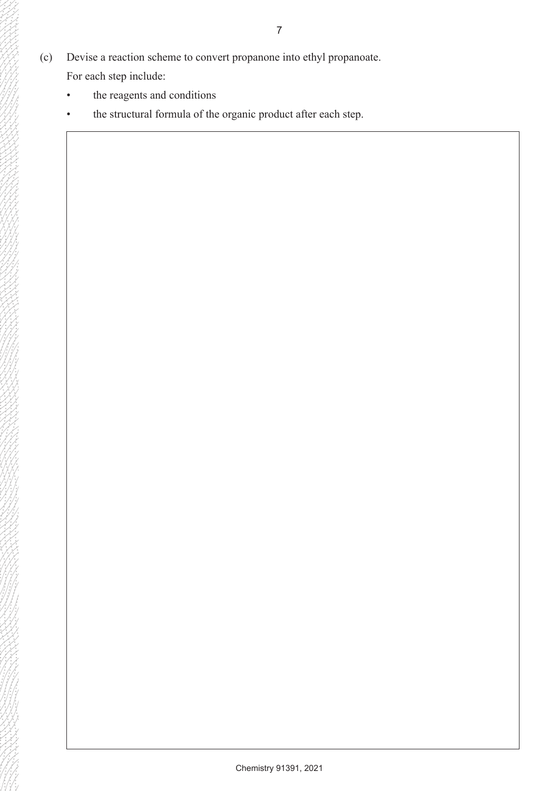(c) Devise a reaction scheme to convert propanone into ethyl propanoate.

For each step include:

- the reagents and conditions
- the structural formula of the organic product after each step.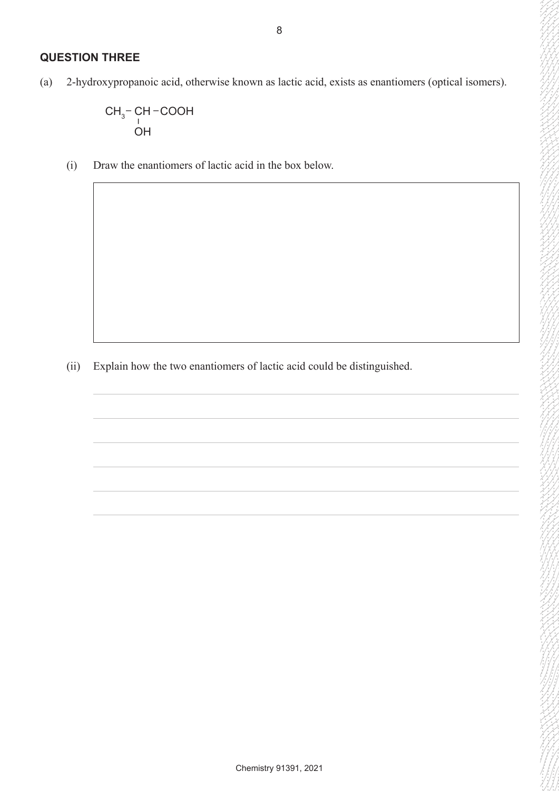### **QUESTION THREE**

(a) 2-hydroxypropanoic acid, otherwise known as lactic acid, exists as enantiomers (optical isomers).

$$
\begin{array}{c}\nCH_3-CH-COOH \\
\downarrow \\
OH\n\end{array}
$$

(i) Draw the enantiomers of lactic acid in the box below.

(ii) Explain how the two enantiomers of lactic acid could be distinguished.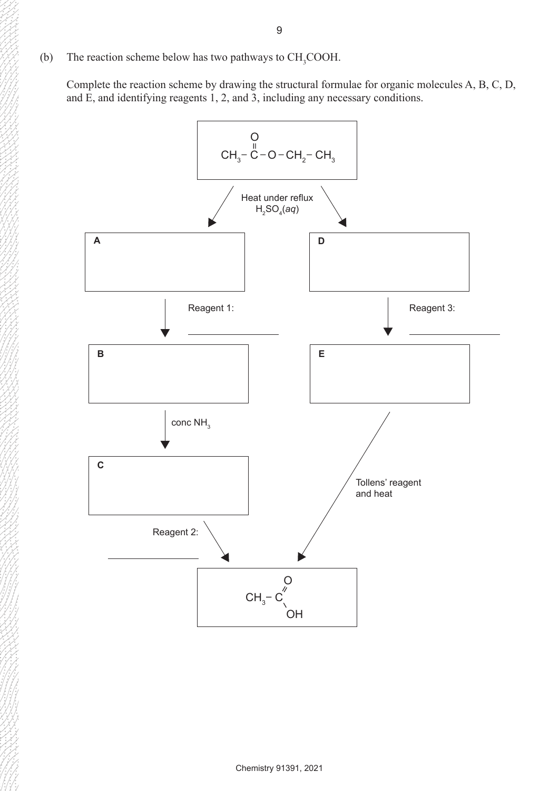Complete the reaction scheme by drawing the structural formulae for organic molecules A, B, C, D, and E, and identifying reagents 1, 2, and 3, including any necessary conditions.

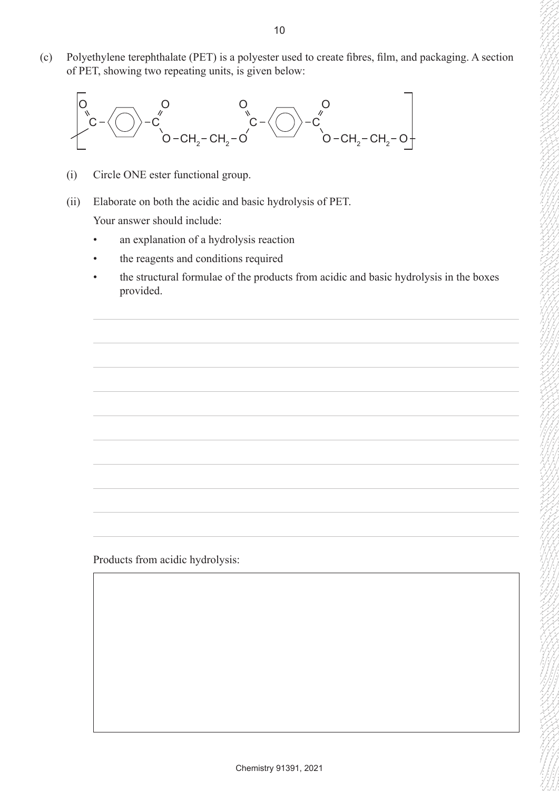(c) Polyethylene terephthalate (PET) is a polyester used to create fibres, film, and packaging. A section of PET, showing two repeating units, is given below:



- (i) Circle ONE ester functional group.
- (ii) Elaborate on both the acidic and basic hydrolysis of PET.

Your answer should include:

- an explanation of a hydrolysis reaction
- the reagents and conditions required
- the structural formulae of the products from acidic and basic hydrolysis in the boxes provided.

Products from acidic hydrolysis: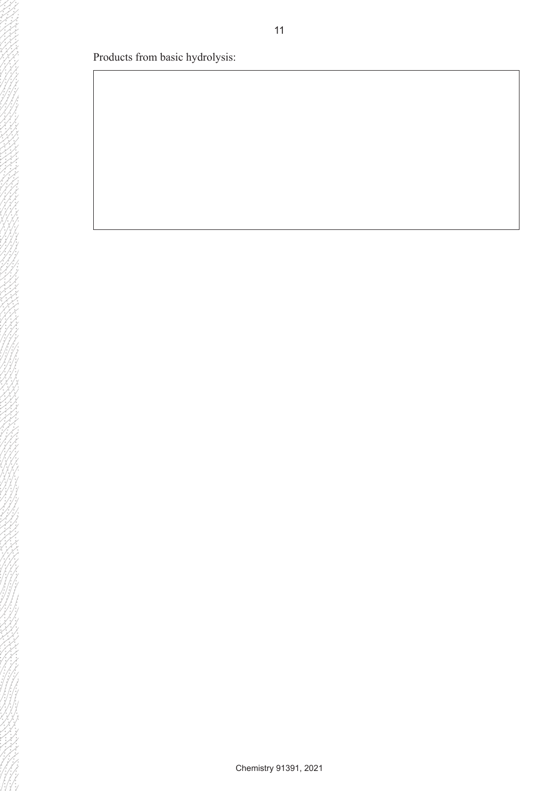Products from basic hydrolysis: